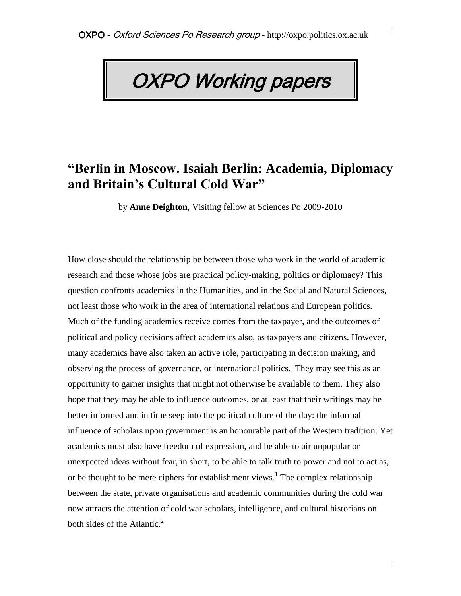## OXPO Working papers

## **"Berlin in Moscow. Isaiah Berlin: Academia, Diplomacy and Britain's Cultural Cold War"**

by **Anne Deighton**, Visiting fellow at Sciences Po 2009-2010

How close should the relationship be between those who work in the world of academic research and those whose jobs are practical policy-making, politics or diplomacy? This question confronts academics in the Humanities, and in the Social and Natural Sciences, not least those who work in the area of international relations and European politics. Much of the funding academics receive comes from the taxpayer, and the outcomes of political and policy decisions affect academics also, as taxpayers and citizens. However, many academics have also taken an active role, participating in decision making, and observing the process of governance, or international politics. They may see this as an opportunity to garner insights that might not otherwise be available to them. They also hope that they may be able to influence outcomes, or at least that their writings may be better informed and in time seep into the political culture of the day: the informal influence of scholars upon government is an honourable part of the Western tradition. Yet academics must also have freedom of expression, and be able to air unpopular or unexpected ideas without fear, in short, to be able to talk truth to power and not to act as, or be thought to be mere ciphers for establishment views.<sup>1</sup> The complex relationship between the state, private organisations and academic communities during the cold war now attracts the attention of cold war scholars, intelligence, and cultural historians on both sides of the Atlantic. $2^2$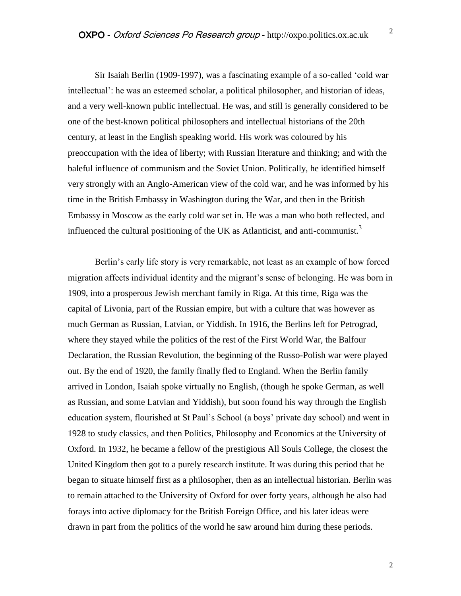Sir Isaiah Berlin (1909-1997), was a fascinating example of a so-called 'cold war intellectual': he was an esteemed scholar, a political philosopher, and historian of ideas, and a very well-known public intellectual. He was, and still is generally considered to be one of the best-known political philosophers and intellectual historians of the 20th century, at least in the English speaking world. His work was coloured by his preoccupation with the idea of liberty; with Russian literature and thinking; and with the baleful influence of communism and the Soviet Union. Politically, he identified himself very strongly with an Anglo-American view of the cold war, and he was informed by his time in the British Embassy in Washington during the War, and then in the British Embassy in Moscow as the early cold war set in. He was a man who both reflected, and influenced the cultural positioning of the UK as Atlanticist, and anti-communist.<sup>3</sup>

Berlin's early life story is very remarkable, not least as an example of how forced migration affects individual identity and the migrant's sense of belonging. He was born in 1909, into a prosperous Jewish merchant family in Riga. At this time, Riga was the capital of Livonia, part of the Russian empire, but with a culture that was however as much German as Russian, Latvian, or Yiddish. In 1916, the Berlins left for Petrograd, where they stayed while the politics of the rest of the First World War, the Balfour Declaration, the Russian Revolution, the beginning of the Russo-Polish war were played out. By the end of 1920, the family finally fled to England. When the Berlin family arrived in London, Isaiah spoke virtually no English, (though he spoke German, as well as Russian, and some Latvian and Yiddish), but soon found his way through the English education system, flourished at St Paul's School (a boys' private day school) and went in 1928 to study classics, and then Politics, Philosophy and Economics at the University of Oxford. In 1932, he became a fellow of the prestigious All Souls College, the closest the United Kingdom then got to a purely research institute. It was during this period that he began to situate himself first as a philosopher, then as an intellectual historian. Berlin was to remain attached to the University of Oxford for over forty years, although he also had forays into active diplomacy for the British Foreign Office, and his later ideas were drawn in part from the politics of the world he saw around him during these periods.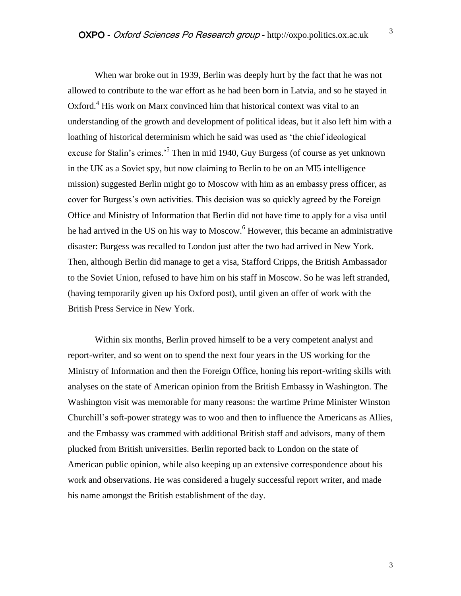When war broke out in 1939, Berlin was deeply hurt by the fact that he was not allowed to contribute to the war effort as he had been born in Latvia, and so he stayed in Oxford.<sup>4</sup> His work on Marx convinced him that historical context was vital to an understanding of the growth and development of political ideas, but it also left him with a loathing of historical determinism which he said was used as 'the chief ideological excuse for Stalin's crimes.<sup>5</sup> Then in mid 1940, Guy Burgess (of course as yet unknown in the UK as a Soviet spy, but now claiming to Berlin to be on an MI5 intelligence mission) suggested Berlin might go to Moscow with him as an embassy press officer, as cover for Burgess's own activities. This decision was so quickly agreed by the Foreign Office and Ministry of Information that Berlin did not have time to apply for a visa until he had arrived in the US on his way to Moscow.<sup>6</sup> However, this became an administrative disaster: Burgess was recalled to London just after the two had arrived in New York. Then, although Berlin did manage to get a visa, Stafford Cripps, the British Ambassador to the Soviet Union, refused to have him on his staff in Moscow. So he was left stranded, (having temporarily given up his Oxford post), until given an offer of work with the British Press Service in New York.

Within six months, Berlin proved himself to be a very competent analyst and report-writer, and so went on to spend the next four years in the US working for the Ministry of Information and then the Foreign Office, honing his report-writing skills with analyses on the state of American opinion from the British Embassy in Washington. The Washington visit was memorable for many reasons: the wartime Prime Minister Winston Churchill's soft-power strategy was to woo and then to influence the Americans as Allies, and the Embassy was crammed with additional British staff and advisors, many of them plucked from British universities. Berlin reported back to London on the state of American public opinion, while also keeping up an extensive correspondence about his work and observations. He was considered a hugely successful report writer, and made his name amongst the British establishment of the day.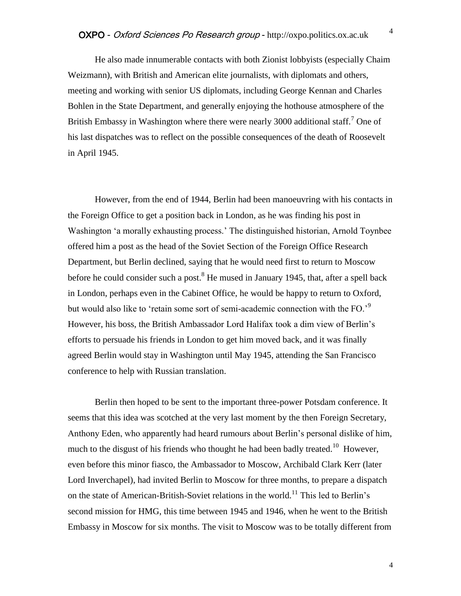He also made innumerable contacts with both Zionist lobbyists (especially Chaim Weizmann), with British and American elite journalists, with diplomats and others, meeting and working with senior US diplomats, including George Kennan and Charles Bohlen in the State Department, and generally enjoying the hothouse atmosphere of the British Embassy in Washington where there were nearly 3000 additional staff.<sup>7</sup> One of his last dispatches was to reflect on the possible consequences of the death of Roosevelt in April 1945.

However, from the end of 1944, Berlin had been manoeuvring with his contacts in the Foreign Office to get a position back in London, as he was finding his post in Washington 'a morally exhausting process.' The distinguished historian, Arnold Toynbee offered him a post as the head of the Soviet Section of the Foreign Office Research Department, but Berlin declined, saying that he would need first to return to Moscow before he could consider such a post.<sup>8</sup> He mused in January 1945, that, after a spell back in London, perhaps even in the Cabinet Office, he would be happy to return to Oxford, but would also like to 'retain some sort of semi-academic connection with the FO.'<sup>9</sup> However, his boss, the British Ambassador Lord Halifax took a dim view of Berlin's efforts to persuade his friends in London to get him moved back, and it was finally agreed Berlin would stay in Washington until May 1945, attending the San Francisco conference to help with Russian translation.

Berlin then hoped to be sent to the important three-power Potsdam conference. It seems that this idea was scotched at the very last moment by the then Foreign Secretary, Anthony Eden, who apparently had heard rumours about Berlin's personal dislike of him, much to the disgust of his friends who thought he had been badly treated.<sup>10</sup> However, even before this minor fiasco, the Ambassador to Moscow, Archibald Clark Kerr (later Lord Inverchapel), had invited Berlin to Moscow for three months, to prepare a dispatch on the state of American-British-Soviet relations in the world.<sup>11</sup> This led to Berlin's second mission for HMG, this time between 1945 and 1946, when he went to the British Embassy in Moscow for six months. The visit to Moscow was to be totally different from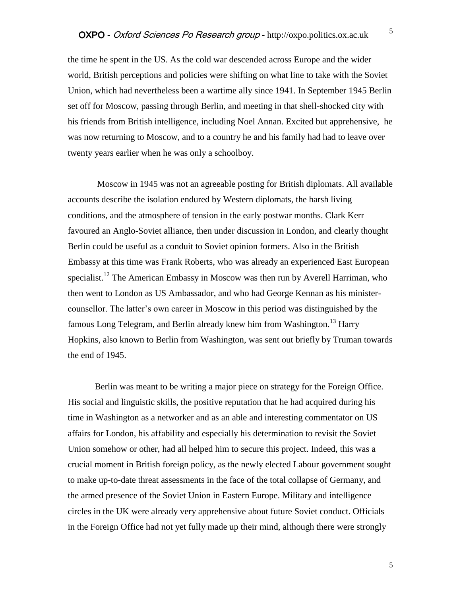the time he spent in the US. As the cold war descended across Europe and the wider world, British perceptions and policies were shifting on what line to take with the Soviet Union, which had nevertheless been a wartime ally since 1941. In September 1945 Berlin set off for Moscow, passing through Berlin, and meeting in that shell-shocked city with his friends from British intelligence, including Noel Annan. Excited but apprehensive, he was now returning to Moscow, and to a country he and his family had had to leave over twenty years earlier when he was only a schoolboy.

Moscow in 1945 was not an agreeable posting for British diplomats. All available accounts describe the isolation endured by Western diplomats, the harsh living conditions, and the atmosphere of tension in the early postwar months. Clark Kerr favoured an Anglo-Soviet alliance, then under discussion in London, and clearly thought Berlin could be useful as a conduit to Soviet opinion formers. Also in the British Embassy at this time was Frank Roberts, who was already an experienced East European specialist.<sup>12</sup> The American Embassy in Moscow was then run by Averell Harriman, who then went to London as US Ambassador, and who had George Kennan as his ministercounsellor. The latter's own career in Moscow in this period was distinguished by the famous Long Telegram, and Berlin already knew him from Washington.<sup>13</sup> Harry Hopkins, also known to Berlin from Washington, was sent out briefly by Truman towards the end of 1945.

Berlin was meant to be writing a major piece on strategy for the Foreign Office. His social and linguistic skills, the positive reputation that he had acquired during his time in Washington as a networker and as an able and interesting commentator on US affairs for London, his affability and especially his determination to revisit the Soviet Union somehow or other, had all helped him to secure this project. Indeed, this was a crucial moment in British foreign policy, as the newly elected Labour government sought to make up-to-date threat assessments in the face of the total collapse of Germany, and the armed presence of the Soviet Union in Eastern Europe. Military and intelligence circles in the UK were already very apprehensive about future Soviet conduct. Officials in the Foreign Office had not yet fully made up their mind, although there were strongly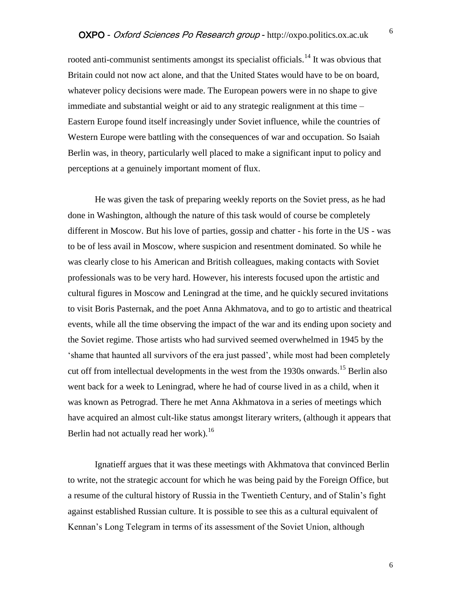rooted anti-communist sentiments amongst its specialist officials.<sup>14</sup> It was obvious that Britain could not now act alone, and that the United States would have to be on board, whatever policy decisions were made. The European powers were in no shape to give immediate and substantial weight or aid to any strategic realignment at this time – Eastern Europe found itself increasingly under Soviet influence, while the countries of Western Europe were battling with the consequences of war and occupation. So Isaiah Berlin was, in theory, particularly well placed to make a significant input to policy and perceptions at a genuinely important moment of flux.

He was given the task of preparing weekly reports on the Soviet press, as he had done in Washington, although the nature of this task would of course be completely different in Moscow. But his love of parties, gossip and chatter - his forte in the US - was to be of less avail in Moscow, where suspicion and resentment dominated. So while he was clearly close to his American and British colleagues, making contacts with Soviet professionals was to be very hard. However, his interests focused upon the artistic and cultural figures in Moscow and Leningrad at the time, and he quickly secured invitations to visit Boris Pasternak, and the poet Anna Akhmatova, and to go to artistic and theatrical events, while all the time observing the impact of the war and its ending upon society and the Soviet regime. Those artists who had survived seemed overwhelmed in 1945 by the 'shame that haunted all survivors of the era just passed', while most had been completely cut off from intellectual developments in the west from the 1930s onwards.<sup>15</sup> Berlin also went back for a week to Leningrad, where he had of course lived in as a child, when it was known as Petrograd. There he met Anna Akhmatova in a series of meetings which have acquired an almost cult-like status amongst literary writers, (although it appears that Berlin had not actually read her work).<sup>16</sup>

Ignatieff argues that it was these meetings with Akhmatova that convinced Berlin to write, not the strategic account for which he was being paid by the Foreign Office, but a resume of the cultural history of Russia in the Twentieth Century, and of Stalin's fight against established Russian culture. It is possible to see this as a cultural equivalent of Kennan's Long Telegram in terms of its assessment of the Soviet Union, although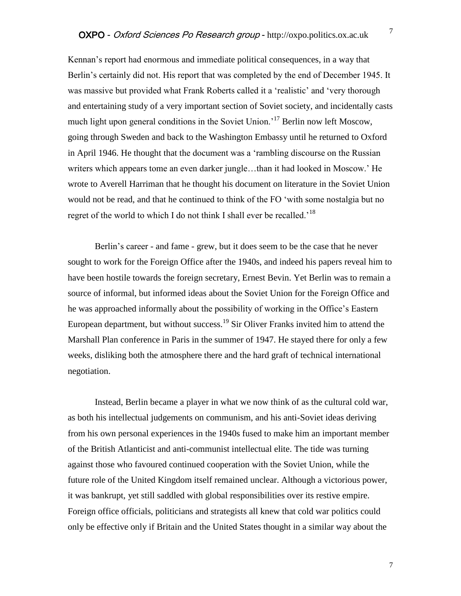Kennan's report had enormous and immediate political consequences, in a way that Berlin's certainly did not. His report that was completed by the end of December 1945. It was massive but provided what Frank Roberts called it a 'realistic' and 'very thorough and entertaining study of a very important section of Soviet society, and incidentally casts much light upon general conditions in the Soviet Union.<sup>17</sup> Berlin now left Moscow, going through Sweden and back to the Washington Embassy until he returned to Oxford in April 1946. He thought that the document was a 'rambling discourse on the Russian writers which appears tome an even darker jungle…than it had looked in Moscow.' He wrote to Averell Harriman that he thought his document on literature in the Soviet Union would not be read, and that he continued to think of the FO 'with some nostalgia but no regret of the world to which I do not think I shall ever be recalled.'<sup>18</sup>

Berlin's career - and fame - grew, but it does seem to be the case that he never sought to work for the Foreign Office after the 1940s, and indeed his papers reveal him to have been hostile towards the foreign secretary, Ernest Bevin. Yet Berlin was to remain a source of informal, but informed ideas about the Soviet Union for the Foreign Office and he was approached informally about the possibility of working in the Office's Eastern European department, but without success.<sup>19</sup> Sir Oliver Franks invited him to attend the Marshall Plan conference in Paris in the summer of 1947. He stayed there for only a few weeks, disliking both the atmosphere there and the hard graft of technical international negotiation.

Instead, Berlin became a player in what we now think of as the cultural cold war, as both his intellectual judgements on communism, and his anti-Soviet ideas deriving from his own personal experiences in the 1940s fused to make him an important member of the British Atlanticist and anti-communist intellectual elite. The tide was turning against those who favoured continued cooperation with the Soviet Union, while the future role of the United Kingdom itself remained unclear. Although a victorious power, it was bankrupt, yet still saddled with global responsibilities over its restive empire. Foreign office officials, politicians and strategists all knew that cold war politics could only be effective only if Britain and the United States thought in a similar way about the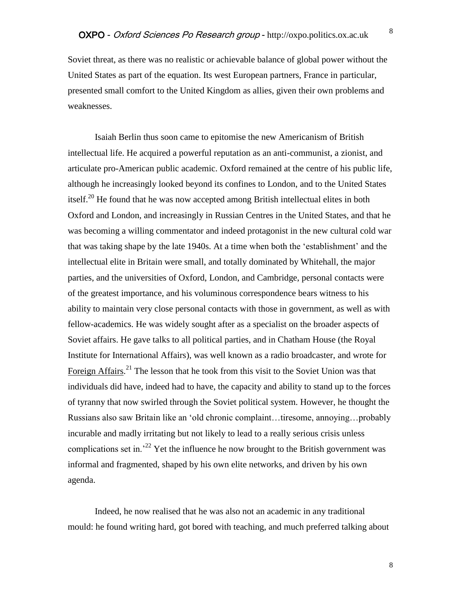Soviet threat, as there was no realistic or achievable balance of global power without the United States as part of the equation. Its west European partners, France in particular, presented small comfort to the United Kingdom as allies, given their own problems and weaknesses.

Isaiah Berlin thus soon came to epitomise the new Americanism of British intellectual life. He acquired a powerful reputation as an anti-communist, a zionist, and articulate pro-American public academic. Oxford remained at the centre of his public life, although he increasingly looked beyond its confines to London, and to the United States itself.<sup>20</sup> He found that he was now accepted among British intellectual elites in both Oxford and London, and increasingly in Russian Centres in the United States, and that he was becoming a willing commentator and indeed protagonist in the new cultural cold war that was taking shape by the late 1940s. At a time when both the 'establishment' and the intellectual elite in Britain were small, and totally dominated by Whitehall, the major parties, and the universities of Oxford, London, and Cambridge, personal contacts were of the greatest importance, and his voluminous correspondence bears witness to his ability to maintain very close personal contacts with those in government, as well as with fellow-academics. He was widely sought after as a specialist on the broader aspects of Soviet affairs. He gave talks to all political parties, and in Chatham House (the Royal Institute for International Affairs), was well known as a radio broadcaster, and wrote for Foreign Affairs.<sup>21</sup> The lesson that he took from this visit to the Soviet Union was that individuals did have, indeed had to have, the capacity and ability to stand up to the forces of tyranny that now swirled through the Soviet political system. However, he thought the Russians also saw Britain like an 'old chronic complaint…tiresome, annoying…probably incurable and madly irritating but not likely to lead to a really serious crisis unless complications set in.<sup>22</sup> Yet the influence he now brought to the British government was informal and fragmented, shaped by his own elite networks, and driven by his own agenda.

Indeed, he now realised that he was also not an academic in any traditional mould: he found writing hard, got bored with teaching, and much preferred talking about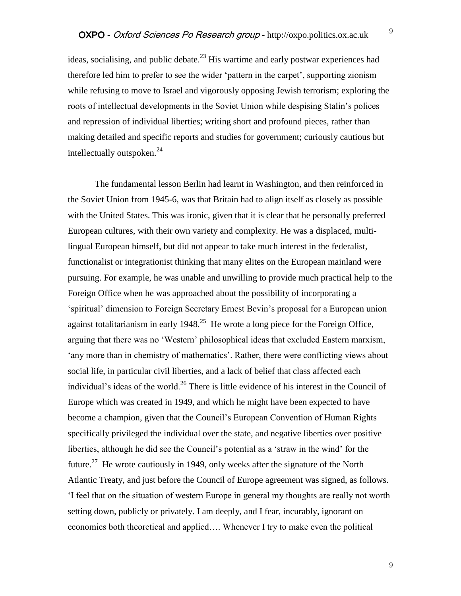ideas, socialising, and public debate.<sup>23</sup> His wartime and early postwar experiences had therefore led him to prefer to see the wider 'pattern in the carpet', supporting zionism while refusing to move to Israel and vigorously opposing Jewish terrorism; exploring the roots of intellectual developments in the Soviet Union while despising Stalin's polices and repression of individual liberties; writing short and profound pieces, rather than making detailed and specific reports and studies for government; curiously cautious but intellectually outspoken.<sup>24</sup>

The fundamental lesson Berlin had learnt in Washington, and then reinforced in the Soviet Union from 1945-6, was that Britain had to align itself as closely as possible with the United States. This was ironic, given that it is clear that he personally preferred European cultures, with their own variety and complexity. He was a displaced, multilingual European himself, but did not appear to take much interest in the federalist, functionalist or integrationist thinking that many elites on the European mainland were pursuing. For example, he was unable and unwilling to provide much practical help to the Foreign Office when he was approached about the possibility of incorporating a 'spiritual' dimension to Foreign Secretary Ernest Bevin's proposal for a European union against totalitarianism in early  $1948$ <sup>25</sup> He wrote a long piece for the Foreign Office, arguing that there was no 'Western' philosophical ideas that excluded Eastern marxism, 'any more than in chemistry of mathematics'. Rather, there were conflicting views about social life, in particular civil liberties, and a lack of belief that class affected each individual's ideas of the world.<sup>26</sup> There is little evidence of his interest in the Council of Europe which was created in 1949, and which he might have been expected to have become a champion, given that the Council's European Convention of Human Rights specifically privileged the individual over the state, and negative liberties over positive liberties, although he did see the Council's potential as a 'straw in the wind' for the future.<sup>27</sup> He wrote cautiously in 1949, only weeks after the signature of the North Atlantic Treaty, and just before the Council of Europe agreement was signed, as follows. 'I feel that on the situation of western Europe in general my thoughts are really not worth setting down, publicly or privately. I am deeply, and I fear, incurably, ignorant on economics both theoretical and applied…. Whenever I try to make even the political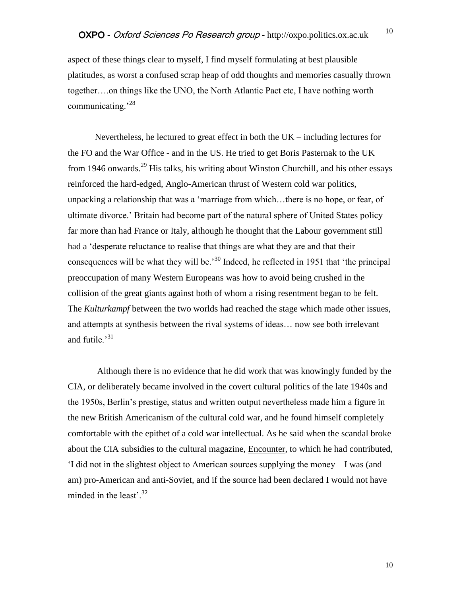aspect of these things clear to myself, I find myself formulating at best plausible platitudes, as worst a confused scrap heap of odd thoughts and memories casually thrown together….on things like the UNO, the North Atlantic Pact etc, I have nothing worth communicating.<sup>28</sup>

Nevertheless, he lectured to great effect in both the  $UK$  – including lectures for the FO and the War Office - and in the US. He tried to get Boris Pasternak to the UK from 1946 onwards.<sup>29</sup> His talks, his writing about Winston Churchill, and his other essays reinforced the hard-edged, Anglo-American thrust of Western cold war politics, unpacking a relationship that was a 'marriage from which…there is no hope, or fear, of ultimate divorce.' Britain had become part of the natural sphere of United States policy far more than had France or Italy, although he thought that the Labour government still had a 'desperate reluctance to realise that things are what they are and that their consequences will be what they will be.<sup>30</sup> Indeed, he reflected in 1951 that 'the principal preoccupation of many Western Europeans was how to avoid being crushed in the collision of the great giants against both of whom a rising resentment began to be felt. The *Kulturkampf* between the two worlds had reached the stage which made other issues, and attempts at synthesis between the rival systems of ideas… now see both irrelevant and futile. $^{31}$ 

Although there is no evidence that he did work that was knowingly funded by the CIA, or deliberately became involved in the covert cultural politics of the late 1940s and the 1950s, Berlin's prestige, status and written output nevertheless made him a figure in the new British Americanism of the cultural cold war, and he found himself completely comfortable with the epithet of a cold war intellectual. As he said when the scandal broke about the CIA subsidies to the cultural magazine, Encounter, to which he had contributed, 'I did not in the slightest object to American sources supplying the money – I was (and am) pro-American and anti-Soviet, and if the source had been declared I would not have minded in the least'. $^{32}$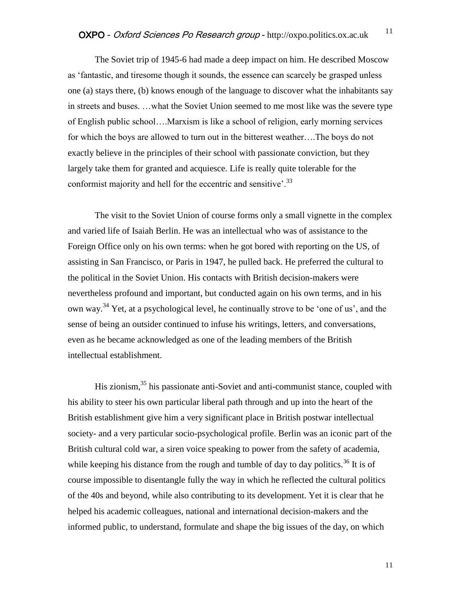The Soviet trip of 1945-6 had made a deep impact on him. He described Moscow as 'fantastic, and tiresome though it sounds, the essence can scarcely be grasped unless one (a) stays there, (b) knows enough of the language to discover what the inhabitants say in streets and buses. …what the Soviet Union seemed to me most like was the severe type of English public school….Marxism is like a school of religion, early morning services for which the boys are allowed to turn out in the bitterest weather….The boys do not exactly believe in the principles of their school with passionate conviction, but they largely take them for granted and acquiesce. Life is really quite tolerable for the conformist majority and hell for the eccentric and sensitive'.<sup>33</sup>

The visit to the Soviet Union of course forms only a small vignette in the complex and varied life of Isaiah Berlin. He was an intellectual who was of assistance to the Foreign Office only on his own terms: when he got bored with reporting on the US, of assisting in San Francisco, or Paris in 1947, he pulled back. He preferred the cultural to the political in the Soviet Union. His contacts with British decision-makers were nevertheless profound and important, but conducted again on his own terms, and in his own way.<sup>34</sup> Yet, at a psychological level, he continually strove to be 'one of us', and the sense of being an outsider continued to infuse his writings, letters, and conversations, even as he became acknowledged as one of the leading members of the British intellectual establishment.

His zionism,<sup>35</sup> his passionate anti-Soviet and anti-communist stance, coupled with his ability to steer his own particular liberal path through and up into the heart of the British establishment give him a very significant place in British postwar intellectual society- and a very particular socio-psychological profile. Berlin was an iconic part of the British cultural cold war, a siren voice speaking to power from the safety of academia, while keeping his distance from the rough and tumble of day to day politics.<sup>36</sup> It is of course impossible to disentangle fully the way in which he reflected the cultural politics of the 40s and beyond, while also contributing to its development. Yet it is clear that he helped his academic colleagues, national and international decision-makers and the informed public, to understand, formulate and shape the big issues of the day, on which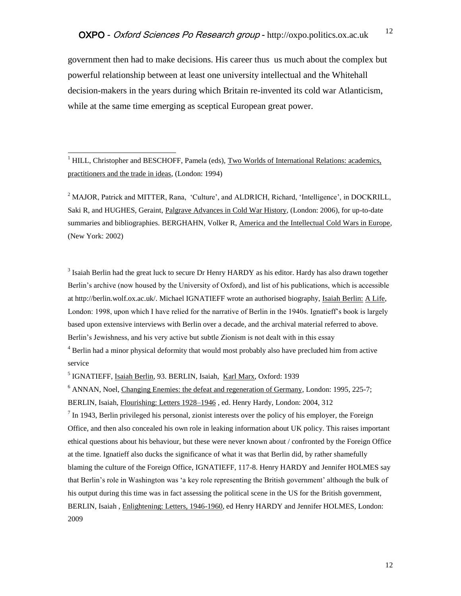government then had to make decisions. His career thus us much about the complex but powerful relationship between at least one university intellectual and the Whitehall decision-makers in the years during which Britain re-invented its cold war Atlanticism, while at the same time emerging as sceptical European great power.

 $<sup>1</sup> HILL$ , Christopher and BESCHOFF, Pamela (eds), Two Worlds of International Relations: academics,</sup> practitioners and the trade in ideas, (London: 1994)

 $\overline{a}$ 

<sup>2</sup> MAJOR, Patrick and MITTER, Rana, 'Culture', and ALDRICH, Richard, 'Intelligence', in DOCKRILL, Saki R, and HUGHES, Geraint, Palgrave Advances in Cold War History, (London: 2006), for up-to-date summaries and bibliographies. BERGHAHN, Volker R, America and the Intellectual Cold Wars in Europe, (New York: 2002)

 $3$  Isaiah Berlin had the great luck to secure Dr Henry HARDY as his editor. Hardy has also drawn together Berlin's archive (now housed by the University of Oxford), and list of his publications, which is accessible at http://berlin.wolf.ox.ac.uk/. Michael IGNATIEFF wrote an authorised biography, Isaiah Berlin: A Life, London: 1998, upon which I have relied for the narrative of Berlin in the 1940s. Ignatieff's book is largely based upon extensive interviews with Berlin over a decade, and the archival material referred to above. Berlin's Jewishness, and his very active but subtle Zionism is not dealt with in this essay

<sup>4</sup> Berlin had a minor physical deformity that would most probably also have precluded him from active service

<sup>5</sup> IGNATIEFF, Isaiah Berlin, 93. BERLIN, Isaiah, Karl Marx, Oxford: 1939

 $6$  ANNAN, Noel, Changing Enemies: the defeat and regeneration of Germany, London: 1995, 225-7; BERLIN, Isaiah, Flourishing: Letters 1928*–*1946 , ed. Henry Hardy, London: 2004, 312

 $<sup>7</sup>$  In 1943, Berlin privileged his personal, zionist interests over the policy of his employer, the Foreign</sup> Office, and then also concealed his own role in leaking information about UK policy. This raises important ethical questions about his behaviour, but these were never known about / confronted by the Foreign Office at the time. Ignatieff also ducks the significance of what it was that Berlin did, by rather shamefully blaming the culture of the Foreign Office, IGNATIEFF, 117-8. Henry HARDY and Jennifer HOLMES say that Berlin's role in Washington was 'a key role representing the British government' although the bulk of his output during this time was in fact assessing the political scene in the US for the British government, BERLIN, Isaiah , Enlightening: Letters, 1946-1960, ed Henry HARDY and Jennifer HOLMES, London: 2009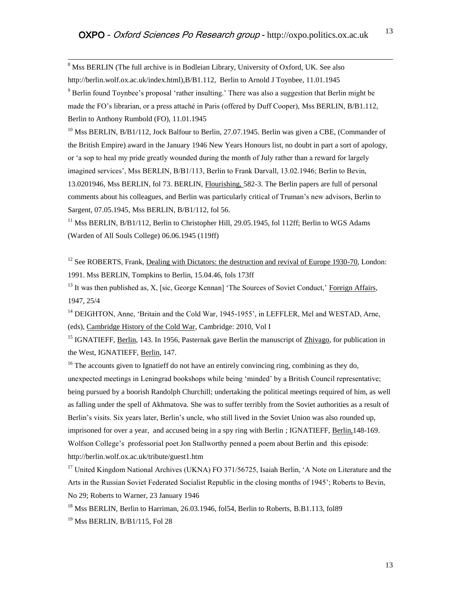$8$  Mss BERLIN (The full archive is in Bodleian Library, University of Oxford, UK. See also http://berlin.wolf.ox.ac.uk/index.html),B/B1.112, Berlin to Arnold J Toynbee, 11.01.1945  $9$  Berlin found Toynbee's proposal 'rather insulting.' There was also a suggestion that Berlin might be made the FO's librarian, or a press attaché in Paris (offered by Duff Cooper), Mss BERLIN, B/B1.112, Berlin to Anthony Rumbold (FO), 11.01.1945

 $^{10}$  Mss BERLIN, B/B1/112, Jock Balfour to Berlin, 27.07.1945. Berlin was given a CBE, (Commander of the British Empire) award in the January 1946 New Years Honours list, no doubt in part a sort of apology, or 'a sop to heal my pride greatly wounded during the month of July rather than a reward for largely imagined services', Mss BERLIN, B/B1/113, Berlin to Frank Darvall, 13.02.1946; Berlin to Bevin, 13.0201946, Mss BERLIN, fol 73. BERLIN, Flourishing, 582-3. The Berlin papers are full of personal comments about his colleagues, and Berlin was particularly critical of Truman's new advisors, Berlin to Sargent, 07.05.1945, Mss BERLIN, B/B1/112, fol 56.

 $11$  Mss BERLIN, B/B1/112, Berlin to Christopher Hill, 29.05.1945, fol 112ff: Berlin to WGS Adams (Warden of All Souls College) 06.06.1945 (119ff)

 $12$  See ROBERTS, Frank, Dealing with Dictators: the destruction and revival of Europe 1930-70, London: 1991. Mss BERLIN, Tompkins to Berlin, 15.04.46, fols 173ff

<sup>13</sup> It was then published as, X, [sic, George Kennan] 'The Sources of Soviet Conduct,' Foreign Affairs, 1947, 25/4

<sup>14</sup> DEIGHTON, Anne, 'Britain and the Cold War, 1945-1955', in LEFFLER, Mel and WESTAD, Arne, (eds), Cambridge History of the Cold War, Cambridge: 2010, Vol I

<sup>15</sup> IGNATIEFF, Berlin, 143. In 1956, Pasternak gave Berlin the manuscript of Zhivago, for publication in the West, IGNATIEFF, Berlin, 147.

 $16$  The accounts given to Ignatieff do not have an entirely convincing ring, combining as they do. unexpected meetings in Leningrad bookshops while being 'minded' by a British Council representative; being pursued by a boorish Randolph Churchill; undertaking the political meetings required of him, as well as falling under the spell of Akhmatova. She was to suffer terribly from the Soviet authorities as a result of Berlin's visits. Six years later, Berlin's uncle, who still lived in the Soviet Union was also rounded up, imprisoned for over a year, and accused being in a spy ring with Berlin; IGNATIEFF, Berlin, 148-169. Wolfson College's professorial poet Jon Stallworthy penned a poem about Berlin and this episode: http://berlin.wolf.ox.ac.uk/tribute/guest1.htm

<sup>17</sup> United Kingdom National Archives (UKNA) FO 371/56725, Isaiah Berlin, 'A Note on Literature and the Arts in the Russian Soviet Federated Socialist Republic in the closing months of 1945'; Roberts to Bevin, No 29; Roberts to Warner, 23 January 1946

<sup>18</sup> Mss BERLIN, Berlin to Harriman, 26.03.1946, fol54, Berlin to Roberts, B.B1.113, fol89

<sup>19</sup> Mss BERLIN, B/B1/115, Fol 28

 $\overline{a}$